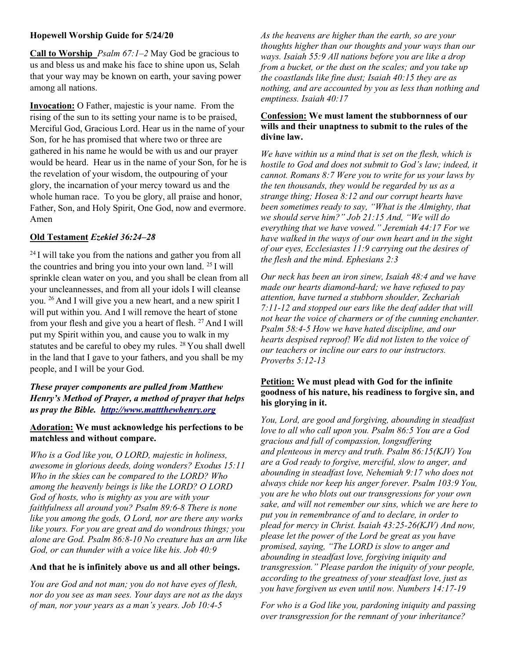## Hopewell Worship Guide for 5/24/20

**Call to Worship** *Psalm 67:1–2* May God be gracious to us and bless us and make his face to shine upon us, Selah that your way may be known on earth, your saving power among all nations.

Invocation: O Father, majestic is your name. From the rising of the sun to its setting your name is to be praised, Merciful God, Gracious Lord. Hear us in the name of your Son, for he has promised that where two or three are gathered in his name he would be with us and our prayer would be heard. Hear us in the name of your Son, for he is the revelation of your wisdom, the outpouring of your glory, the incarnation of your mercy toward us and the whole human race. To you be glory, all praise and honor, Father, Son, and Holy Spirit, One God, now and evermore. Amen

# Old Testament Ezekiel 36:24–28

 $24$  I will take you from the nations and gather you from all the countries and bring you into your own land.  $25$  I will sprinkle clean water on you, and you shall be clean from all your uncleannesses, and from all your idols I will cleanse you. <sup>26</sup>And I will give you a new heart, and a new spirit I will put within you. And I will remove the heart of stone from your flesh and give you a heart of flesh.  $27$  And I will put my Spirit within you, and cause you to walk in my statutes and be careful to obey my rules. <sup>28</sup> You shall dwell in the land that I gave to your fathers, and you shall be my people, and I will be your God.

# These prayer components are pulled from Matthew Henry's Method of Prayer, a method of prayer that helps us pray the Bible. http://www.mattthewhenry.org

## Adoration: We must acknowledge his perfections to be matchless and without compare.

Who is a God like you, O LORD, majestic in holiness, awesome in glorious deeds, doing wonders? Exodus 15:11 Who in the skies can be compared to the LORD? Who among the heavenly beings is like the LORD? O LORD God of hosts, who is mighty as you are with your faithfulness all around you? Psalm 89:6-8 There is none like you among the gods, O Lord, nor are there any works like yours. For you are great and do wondrous things; you alone are God. Psalm 86:8-10 No creature has an arm like God, or can thunder with a voice like his. Job 40:9

### And that he is infinitely above us and all other beings.

You are God and not man; you do not have eyes of flesh, nor do you see as man sees. Your days are not as the days of man, nor your years as a man's years. Job 10:4-5

As the heavens are higher than the earth, so are your thoughts higher than our thoughts and your ways than our ways. Isaiah 55:9 All nations before you are like a drop from a bucket, or the dust on the scales; and you take up the coastlands like fine dust; Isaiah 40:15 they are as nothing, and are accounted by you as less than nothing and emptiness. Isaiah 40:17

### Confession: We must lament the stubbornness of our wills and their unaptness to submit to the rules of the divine law.

We have within us a mind that is set on the flesh, which is hostile to God and does not submit to God's law; indeed, it cannot. Romans 8:7 Were you to write for us your laws by the ten thousands, they would be regarded by us as a strange thing; Hosea 8:12 and our corrupt hearts have been sometimes ready to say, "What is the Almighty, that we should serve him?" Job 21:15 And, "We will do everything that we have vowed." Jeremiah 44:17 For we have walked in the ways of our own heart and in the sight of our eyes, Ecclesiastes 11:9 carrying out the desires of the flesh and the mind. Ephesians 2:3

Our neck has been an iron sinew, Isaiah 48:4 and we have made our hearts diamond-hard; we have refused to pay attention, have turned a stubborn shoulder, Zechariah 7:11-12 and stopped our ears like the deaf adder that will not hear the voice of charmers or of the cunning enchanter. Psalm 58:4-5 How we have hated discipline, and our hearts despised reproof! We did not listen to the voice of our teachers or incline our ears to our instructors. Proverbs 5:12-13

## Petition: We must plead with God for the infinite goodness of his nature, his readiness to forgive sin, and his glorying in it.

You, Lord, are good and forgiving, abounding in steadfast love to all who call upon you. Psalm 86:5 You are a God gracious and full of compassion, longsuffering and plenteous in mercy and truth. Psalm 86:15(KJV) You are a God ready to forgive, merciful, slow to anger, and abounding in steadfast love, Nehemiah 9:17 who does not always chide nor keep his anger forever. Psalm 103:9 You, you are he who blots out our transgressions for your own sake, and will not remember our sins, which we are here to put you in remembrance of and to declare, in order to plead for mercy in Christ. Isaiah 43:25-26(KJV) And now, please let the power of the Lord be great as you have promised, saying, "The LORD is slow to anger and abounding in steadfast love, forgiving iniquity and transgression." Please pardon the iniquity of your people, according to the greatness of your steadfast love, just as you have forgiven us even until now. Numbers 14:17-19

For who is a God like you, pardoning iniquity and passing over transgression for the remnant of your inheritance?